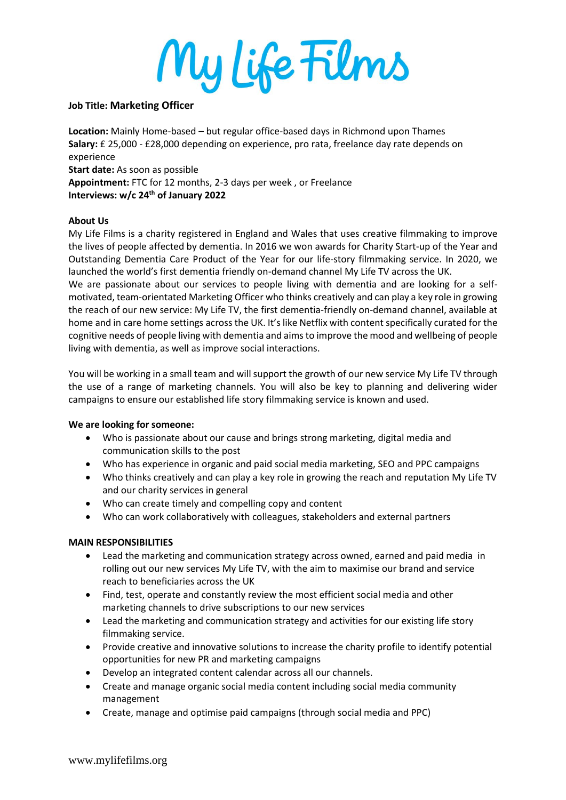My Life Films

### **Job Title: Marketing Officer**

**Location:** Mainly Home-based – but regular office-based days in Richmond upon Thames **Salary:** £ 25,000 - £28,000 depending on experience, pro rata, freelance day rate depends on experience **Start date:** As soon as possible **Appointment:** FTC for 12 months, 2-3 days per week , or Freelance **Interviews: w/c 24th of January 2022** 

## **About Us**

My Life Films is a charity registered in England and Wales that uses creative filmmaking to improve the lives of people affected by dementia. In 2016 we won awards for Charity Start-up of the Year and Outstanding Dementia Care Product of the Year for our life-story filmmaking service. In 2020, we launched the world's first dementia friendly on-demand channel My Life TV across the UK.

We are passionate about our services to people living with dementia and are looking for a selfmotivated, team-orientated Marketing Officer who thinks creatively and can play a key role in growing the reach of our new service: My Life TV, the first dementia-friendly on-demand channel, available at home and in care home settings across the UK. It's like Netflix with content specifically curated for the cognitive needs of people living with dementia and aims to improve the mood and wellbeing of people living with dementia, as well as improve social interactions.

You will be working in a small team and will support the growth of our new service My Life TV through the use of a range of marketing channels. You will also be key to planning and delivering wider campaigns to ensure our established life story filmmaking service is known and used.

### **We are looking for someone:**

- Who is passionate about our cause and brings strong marketing, digital media and communication skills to the post
- Who has experience in organic and paid social media marketing, SEO and PPC campaigns
- Who thinks creatively and can play a key role in growing the reach and reputation My Life TV and our charity services in general
- Who can create timely and compelling copy and content
- Who can work collaboratively with colleagues, stakeholders and external partners

# **MAIN RESPONSIBILITIES**

- Lead the marketing and communication strategy across owned, earned and paid media in rolling out our new services My Life TV, with the aim to maximise our brand and service reach to beneficiaries across the UK
- Find, test, operate and constantly review the most efficient social media and other marketing channels to drive subscriptions to our new services
- Lead the marketing and communication strategy and activities for our existing life story filmmaking service.
- Provide creative and innovative solutions to increase the charity profile to identify potential opportunities for new PR and marketing campaigns
- Develop an integrated content calendar across all our channels.
- Create and manage organic social media content including social media community management
- Create, manage and optimise paid campaigns (through social media and PPC)